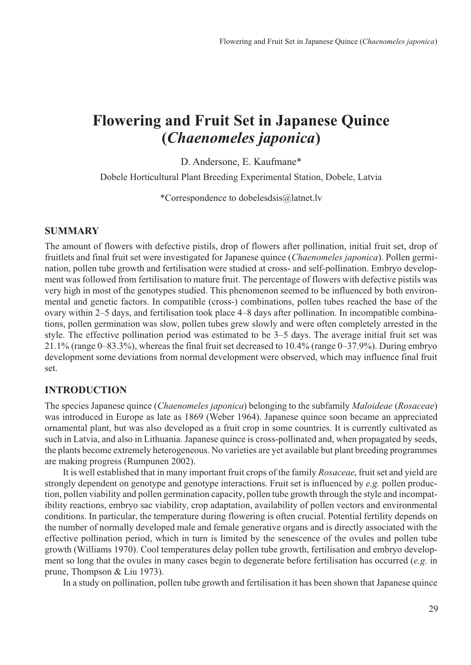# **Flowering and Fruit Set in Japanese Quince (***Chaenomeles japonica***)**

D. Andersone, E. Kaufmane\*

Dobele Horticultural Plant Breeding Experimental Station, Dobele, Latvia

\*Correspondence to dobelesdsis@latnet.lv

#### **SUMMARY**

The amount of flowers with defective pistils, drop of flowers after pollination, initial fruit set, drop of fruitlets and final fruit set were investigated for Japanese quince (*Chaenomeles japonica*). Pollen germination, pollen tube growth and fertilisation were studied at cross- and self-pollination. Embryo development was followed from fertilisation to mature fruit. The percentage of flowers with defective pistils was very high in most of the genotypes studied. This phenomenon seemed to be influenced by both environmental and genetic factors. In compatible (cross-) combinations, pollen tubes reached the base of the ovary within 2–5 days, and fertilisation took place 4–8 days after pollination. In incompatible combinations, pollen germination was slow, pollen tubes grew slowly and were often completely arrested in the style. The effective pollination period was estimated to be 3–5 days. The average initial fruit set was 21.1% (range 0–83.3%), whereas the final fruit set decreased to 10.4% (range 0–37.9%). During embryo development some deviations from normal development were observed, which may influence final fruit set.

## **INTRODUCTION**

The species Japanese quince (*Chaenomeles japonica*) belonging to the subfamily *Maloideae* (*Rosaceae*) was introduced in Europe as late as 1869 (Weber 1964). Japanese quince soon became an appreciated ornamental plant, but was also developed as a fruit crop in some countries. It is currently cultivated as such in Latvia, and also in Lithuania. Japanese quince is cross-pollinated and, when propagated by seeds, the plants become extremely heterogeneous. No varieties are yet available but plant breeding programmes are making progress (Rumpunen 2002).

It is well established that in many important fruit crops of the family *Rosaceae*, fruit set and yield are strongly dependent on genotype and genotype interactions. Fruit set is influenced by *e.g.* pollen production, pollen viability and pollen germination capacity, pollen tube growth through the style and incompatibility reactions, embryo sac viability, crop adaptation, availability of pollen vectors and environmental conditions. In particular, the temperature during flowering is often crucial. Potential fertility depends on the number of normally developed male and female generative organs and is directly associated with the effective pollination period, which in turn is limited by the senescence of the ovules and pollen tube growth (Williams 1970). Cool temperatures delay pollen tube growth, fertilisation and embryo development so long that the ovules in many cases begin to degenerate before fertilisation has occurred (*e.g.* in prune, Thompson & Liu 1973).

In a study on pollination, pollen tube growth and fertilisation it has been shown that Japanese quince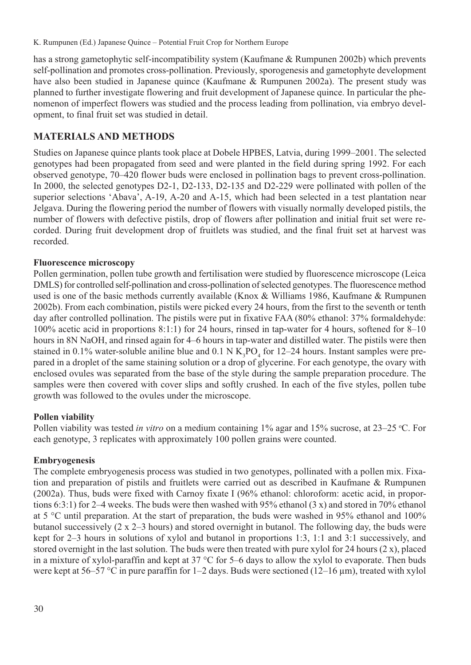has a strong gametophytic self-incompatibility system (Kaufmane & Rumpunen 2002b) which prevents self-pollination and promotes cross-pollination. Previously, sporogenesis and gametophyte development have also been studied in Japanese quince (Kaufmane & Rumpunen 2002a). The present study was planned to further investigate flowering and fruit development of Japanese quince. In particular the phenomenon of imperfect flowers was studied and the process leading from pollination, via embryo development, to final fruit set was studied in detail.

# **MATERIALS AND METHODS**

Studies on Japanese quince plants took place at Dobele HPBES, Latvia, during 1999–2001. The selected genotypes had been propagated from seed and were planted in the field during spring 1992. For each observed genotype, 70–420 flower buds were enclosed in pollination bags to prevent cross-pollination. In 2000, the selected genotypes D2-1, D2-133, D2-135 and D2-229 were pollinated with pollen of the superior selections 'Abava', A-19, A-20 and A-15, which had been selected in a test plantation near Jelgava. During the flowering period the number of flowers with visually normally developed pistils, the number of flowers with defective pistils, drop of flowers after pollination and initial fruit set were recorded. During fruit development drop of fruitlets was studied, and the final fruit set at harvest was recorded.

# **Fluorescence microscopy**

Pollen germination, pollen tube growth and fertilisation were studied by fluorescence microscope (Leica DMLS) for controlled self-pollination and cross-pollination of selected genotypes. The fluorescence method used is one of the basic methods currently available (Knox & Williams 1986, Kaufmane & Rumpunen 2002b). From each combination, pistils were picked every 24 hours, from the first to the seventh or tenth day after controlled pollination. The pistils were put in fixative FAA (80% ethanol: 37% formaldehyde: 100% acetic acid in proportions 8:1:1) for 24 hours, rinsed in tap-water for 4 hours, softened for 8–10 hours in 8N NaOH, and rinsed again for 4–6 hours in tap-water and distilled water. The pistils were then stained in 0.1% water-soluble aniline blue and 0.1 N  $K_3PO_4$  for 12–24 hours. Instant samples were prepared in a droplet of the same staining solution or a drop of glycerine. For each genotype, the ovary with enclosed ovules was separated from the base of the style during the sample preparation procedure. The samples were then covered with cover slips and softly crushed. In each of the five styles, pollen tube growth was followed to the ovules under the microscope.

# **Pollen viability**

Pollen viability was tested *in vitro* on a medium containing 1% agar and 15% sucrose, at 23–25 °C. For each genotype, 3 replicates with approximately 100 pollen grains were counted.

## **Embryogenesis**

The complete embryogenesis process was studied in two genotypes, pollinated with a pollen mix. Fixation and preparation of pistils and fruitlets were carried out as described in Kaufmane & Rumpunen (2002a). Thus, buds were fixed with Carnoy fixate I (96% ethanol: chloroform: acetic acid, in proportions 6:3:1) for 2–4 weeks. The buds were then washed with 95% ethanol (3 x) and stored in 70% ethanol at 5 °C until preparation. At the start of preparation, the buds were washed in 95% ethanol and 100% butanol successively (2 x 2–3 hours) and stored overnight in butanol. The following day, the buds were kept for 2–3 hours in solutions of xylol and butanol in proportions 1:3, 1:1 and 3:1 successively, and stored overnight in the last solution. The buds were then treated with pure xylol for 24 hours (2 x), placed in a mixture of xylol-paraffin and kept at 37 °C for 5–6 days to allow the xylol to evaporate. Then buds were kept at 56–57 °C in pure paraffin for 1–2 days. Buds were sectioned (12–16 µm), treated with xylol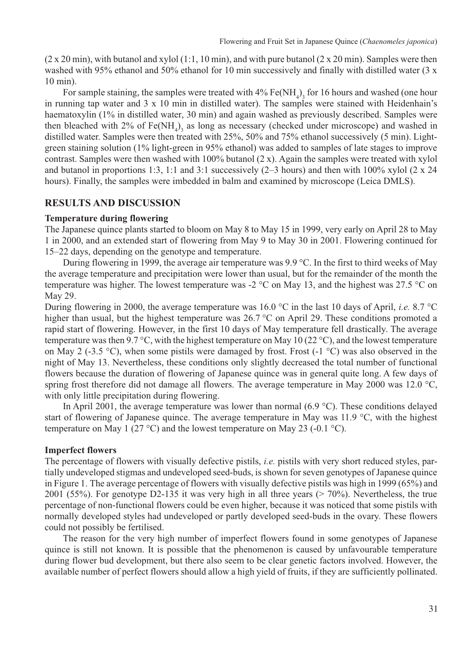$(2 \times 20 \text{ min})$ , with butanol and xylol  $(1:1, 10 \text{ min})$ , and with pure butanol  $(2 \times 20 \text{ min})$ . Samples were then washed with 95% ethanol and 50% ethanol for 10 min successively and finally with distilled water (3 x 10 min).

For sample staining, the samples were treated with  $4\%$  Fe(NH<sub>4</sub>)<sub>3</sub> for 16 hours and washed (one hour in running tap water and 3 x 10 min in distilled water). The samples were stained with Heidenhain's haematoxylin (1% in distilled water, 30 min) and again washed as previously described. Samples were then bleached with  $2\%$  of Fe(NH<sub>4</sub>)<sub>3</sub> as long as necessary (checked under microscope) and washed in distilled water. Samples were then treated with 25%, 50% and 75% ethanol successively (5 min). Lightgreen staining solution (1% light-green in 95% ethanol) was added to samples of late stages to improve contrast. Samples were then washed with 100% butanol (2 x). Again the samples were treated with xylol and butanol in proportions 1:3, 1:1 and 3:1 successively (2–3 hours) and then with 100% xylol (2 x 24 hours). Finally, the samples were imbedded in balm and examined by microscope (Leica DMLS).

# **RESULTS AND DISCUSSION**

## **Temperature during flowering**

The Japanese quince plants started to bloom on May 8 to May 15 in 1999, very early on April 28 to May 1 in 2000, and an extended start of flowering from May 9 to May 30 in 2001. Flowering continued for 15–22 days, depending on the genotype and temperature.

During flowering in 1999, the average air temperature was 9.9 °C. In the first to third weeks of May the average temperature and precipitation were lower than usual, but for the remainder of the month the temperature was higher. The lowest temperature was -2 °C on May 13, and the highest was 27.5 °C on May 29.

During flowering in 2000, the average temperature was 16.0 °C in the last 10 days of April, *i.e.* 8.7 °C higher than usual, but the highest temperature was 26.7 °C on April 29. These conditions promoted a rapid start of flowering. However, in the first 10 days of May temperature fell drastically. The average temperature was then 9.7 °C, with the highest temperature on May 10 (22 °C), and the lowest temperature on May 2 (-3.5 °C), when some pistils were damaged by frost. Frost (-1 °C) was also observed in the night of May 13. Nevertheless, these conditions only slightly decreased the total number of functional flowers because the duration of flowering of Japanese quince was in general quite long. A few days of spring frost therefore did not damage all flowers. The average temperature in May 2000 was 12.0 °C, with only little precipitation during flowering.

In April 2001, the average temperature was lower than normal (6.9 °C). These conditions delayed start of flowering of Japanese quince. The average temperature in May was 11.9 °C, with the highest temperature on May 1 (27 °C) and the lowest temperature on May 23 (-0.1 °C).

#### **Imperfect flowers**

The percentage of flowers with visually defective pistils, *i.e.* pistils with very short reduced styles, partially undeveloped stigmas and undeveloped seed-buds, is shown for seven genotypes of Japanese quince in Figure 1. The average percentage of flowers with visually defective pistils was high in 1999 (65%) and 2001 (55%). For genotype D2-135 it was very high in all three years ( $> 70\%$ ). Nevertheless, the true percentage of non-functional flowers could be even higher, because it was noticed that some pistils with normally developed styles had undeveloped or partly developed seed-buds in the ovary. These flowers could not possibly be fertilised.

The reason for the very high number of imperfect flowers found in some genotypes of Japanese quince is still not known. It is possible that the phenomenon is caused by unfavourable temperature during flower bud development, but there also seem to be clear genetic factors involved. However, the available number of perfect flowers should allow a high yield of fruits, if they are sufficiently pollinated.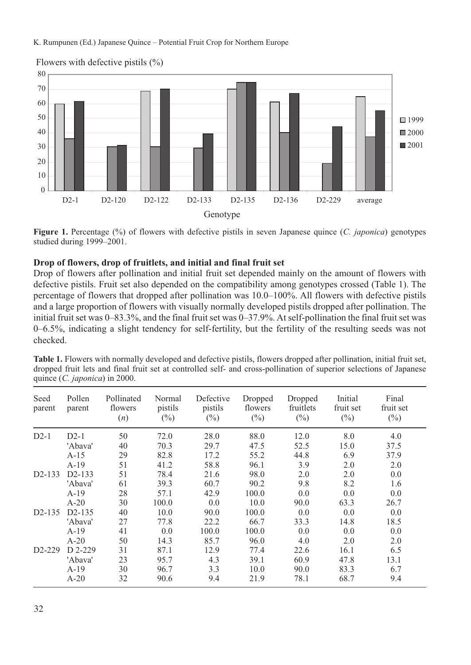

#### Flowers with defective pistils  $(\%)$

**Figure 1.** Percentage (%) of flowers with defective pistils in seven Japanese quince (*C. japonica*) genotypes studied during 1999–2001.

## **Drop of flowers, drop of fruitlets, and initial and final fruit set**

Drop of flowers after pollination and initial fruit set depended mainly on the amount of flowers with defective pistils. Fruit set also depended on the compatibility among genotypes crossed (Table 1). The percentage of flowers that dropped after pollination was 10.0–100%. All flowers with defective pistils and a large proportion of flowers with visually normally developed pistils dropped after pollination. The initial fruit set was 0–83.3%, and the final fruit set was 0–37.9%. At self-pollination the final fruit set was 0–6.5%, indicating a slight tendency for self-fertility, but the fertility of the resulting seeds was not checked.

| Seed<br>parent | Pollen<br>parent | Pollinated<br>flowers<br>(n) | Normal<br>pistils<br>$(\%)$ | Defective<br>pistils<br>$(\%)$ | Dropped<br>flowers<br>$(\%)$ | Dropped<br>fruitlets<br>$(\%)$ | Initial<br>fruit set<br>$(\%)$ | Final<br>fruit set<br>$(\%)$ |
|----------------|------------------|------------------------------|-----------------------------|--------------------------------|------------------------------|--------------------------------|--------------------------------|------------------------------|
| $D2-1$         | $D2-1$           | 50                           | 72.0                        | 28.0                           | 88.0                         | 12.0                           | 8.0                            | 4.0                          |
|                | 'Abava'          | 40                           | 70.3                        | 29.7                           | 47.5                         | 52.5                           | 15.0                           | 37.5                         |
|                | $A-15$           | 29                           | 82.8                        | 17.2                           | 55.2                         | 44.8                           | 6.9                            | 37.9                         |
|                | $A-19$           | 51                           | 41.2                        | 58.8                           | 96.1                         | 3.9                            | 2.0                            | 2.0                          |
| $D2 - 133$     | $D2-133$         | 51                           | 78.4                        | 21.6                           | 98.0                         | 2.0                            | 2.0                            | 0.0                          |
|                | 'Abava'          | 61                           | 39.3                        | 60.7                           | 90.2                         | 9.8                            | 8.2                            | 1.6                          |
|                | $A-19$           | 28                           | 57.1                        | 42.9                           | 100.0                        | 0.0                            | 0.0                            | 0.0                          |
|                | $A-20$           | 30                           | 100.0                       | 0.0                            | 10.0                         | 90.0                           | 63.3                           | 26.7                         |
| $D2-135$       | $D2-135$         | 40                           | 10.0                        | 90.0                           | 100.0                        | 0.0                            | 0.0                            | 0.0                          |
|                | 'Abava'          | 27                           | 77.8                        | 22.2                           | 66.7                         | 33.3                           | 14.8                           | 18.5                         |
|                | $A-19$           | 41                           | 0.0                         | 100.0                          | 100.0                        | 0.0                            | 0.0                            | 0.0                          |
|                | $A-20$           | 50                           | 14.3                        | 85.7                           | 96.0                         | 4.0                            | 2.0                            | 2.0                          |
| $D2-229$       | D 2-229          | 31                           | 87.1                        | 12.9                           | 77.4                         | 22.6                           | 16.1                           | 6.5                          |
|                | 'Abava'          | 23                           | 95.7                        | 4.3                            | 39.1                         | 60.9                           | 47.8                           | 13.1                         |
|                | $A-19$           | 30                           | 96.7                        | 3.3                            | 10.0                         | 90.0                           | 83.3                           | 6.7                          |
|                | $A-20$           | 32                           | 90.6                        | 9.4                            | 21.9                         | 78.1                           | 68.7                           | 9.4                          |

**Table 1.** Flowers with normally developed and defective pistils, flowers dropped after pollination, initial fruit set, dropped fruit lets and final fruit set at controlled self- and cross-pollination of superior selections of Japanese quince (*C. japonica*) in 2000.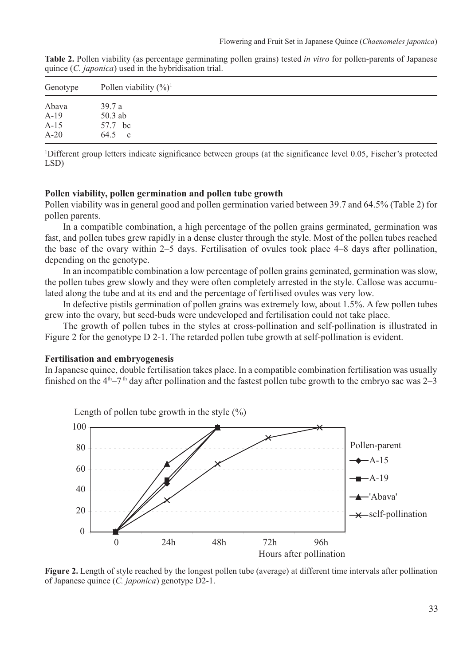| Table 2. Pollen viability (as percentage germinating pollen grains) tested in vitro for pollen-parents of Japanese |  |  |  |
|--------------------------------------------------------------------------------------------------------------------|--|--|--|
| quince ( <i>C. japonica</i> ) used in the hybridisation trial.                                                     |  |  |  |

| Genotype | Pollen viability $(\frac{6}{6})^1$ |  |  |  |  |  |
|----------|------------------------------------|--|--|--|--|--|
| Abava    | 39.7a                              |  |  |  |  |  |
| $A-19$   | 50.3 ab                            |  |  |  |  |  |
| $A-15$   | 57.7 bc                            |  |  |  |  |  |
| $A-20$   | 64.5 c                             |  |  |  |  |  |

<sup>1</sup>Different group letters indicate significance between groups (at the significance level 0.05, Fischer's protected LSD)

#### **Pollen viability, pollen germination and pollen tube growth**

Pollen viability was in general good and pollen germination varied between 39.7 and 64.5% (Table 2) for pollen parents.

In a compatible combination, a high percentage of the pollen grains germinated, germination was fast, and pollen tubes grew rapidly in a dense cluster through the style. Most of the pollen tubes reached the base of the ovary within 2–5 days. Fertilisation of ovules took place 4–8 days after pollination, depending on the genotype.

In an incompatible combination a low percentage of pollen grains geminated, germination was slow, the pollen tubes grew slowly and they were often completely arrested in the style. Callose was accumulated along the tube and at its end and the percentage of fertilised ovules was very low.

In defective pistils germination of pollen grains was extremely low, about 1.5%. A few pollen tubes grew into the ovary, but seed-buds were undeveloped and fertilisation could not take place.

The growth of pollen tubes in the styles at cross-pollination and self-pollination is illustrated in Figure 2 for the genotype D 2-1. The retarded pollen tube growth at self-pollination is evident.

#### **Fertilisation and embryogenesis**

In Japanese quince, double fertilisation takes place. In a compatible combination fertilisation was usually finished on the  $4<sup>th</sup>-7<sup>th</sup>$  day after pollination and the fastest pollen tube growth to the embryo sac was 2–3



**Figure 2.** Length of style reached by the longest pollen tube (average) at different time intervals after pollination of Japanese quince (*C. japonica*) genotype D2-1.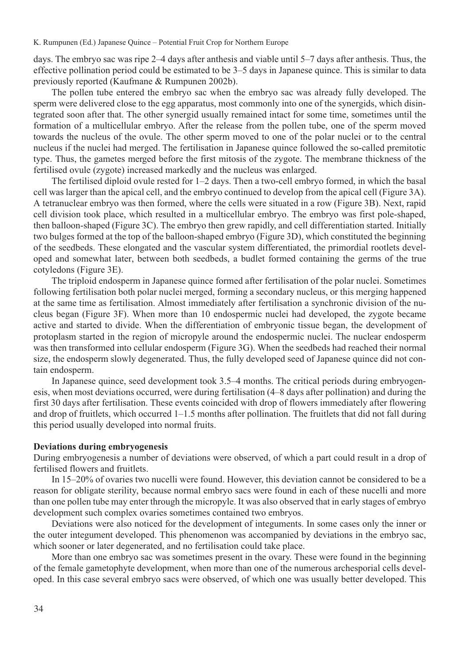days. The embryo sac was ripe 2–4 days after anthesis and viable until 5–7 days after anthesis. Thus, the effective pollination period could be estimated to be 3–5 days in Japanese quince. This is similar to data previously reported (Kaufmane & Rumpunen 2002b).

The pollen tube entered the embryo sac when the embryo sac was already fully developed. The sperm were delivered close to the egg apparatus, most commonly into one of the synergids, which disintegrated soon after that. The other synergid usually remained intact for some time, sometimes until the formation of a multicellular embryo. After the release from the pollen tube, one of the sperm moved towards the nucleus of the ovule. The other sperm moved to one of the polar nuclei or to the central nucleus if the nuclei had merged. The fertilisation in Japanese quince followed the so-called premitotic type. Thus, the gametes merged before the first mitosis of the zygote. The membrane thickness of the fertilised ovule (zygote) increased markedly and the nucleus was enlarged.

The fertilised diploid ovule rested for 1–2 days. Then a two-cell embryo formed, in which the basal cell was larger than the apical cell, and the embryo continued to develop from the apical cell (Figure 3A). A tetranuclear embryo was then formed, where the cells were situated in a row (Figure 3B). Next, rapid cell division took place, which resulted in a multicellular embryo. The embryo was first pole-shaped, then balloon-shaped (Figure 3C). The embryo then grew rapidly, and cell differentiation started. Initially two bulges formed at the top of the balloon-shaped embryo (Figure 3D), which constituted the beginning of the seedbeds. These elongated and the vascular system differentiated, the primordial rootlets developed and somewhat later, between both seedbeds, a budlet formed containing the germs of the true cotyledons (Figure 3E).

The triploid endosperm in Japanese quince formed after fertilisation of the polar nuclei. Sometimes following fertilisation both polar nuclei merged, forming a secondary nucleus, or this merging happened at the same time as fertilisation. Almost immediately after fertilisation a synchronic division of the nucleus began (Figure 3F). When more than 10 endospermic nuclei had developed, the zygote became active and started to divide. When the differentiation of embryonic tissue began, the development of protoplasm started in the region of micropyle around the endospermic nuclei. The nuclear endosperm was then transformed into cellular endosperm (Figure 3G). When the seedbeds had reached their normal size, the endosperm slowly degenerated. Thus, the fully developed seed of Japanese quince did not contain endosperm.

In Japanese quince, seed development took 3.5–4 months. The critical periods during embryogenesis, when most deviations occurred, were during fertilisation (4–8 days after pollination) and during the first 30 days after fertilisation. These events coincided with drop of flowers immediately after flowering and drop of fruitlets, which occurred 1–1.5 months after pollination. The fruitlets that did not fall during this period usually developed into normal fruits.

#### **Deviations during embryogenesis**

During embryogenesis a number of deviations were observed, of which a part could result in a drop of fertilised flowers and fruitlets.

In 15–20% of ovaries two nucelli were found. However, this deviation cannot be considered to be a reason for obligate sterility, because normal embryo sacs were found in each of these nucelli and more than one pollen tube may enter through the micropyle. It was also observed that in early stages of embryo development such complex ovaries sometimes contained two embryos.

Deviations were also noticed for the development of integuments. In some cases only the inner or the outer integument developed. This phenomenon was accompanied by deviations in the embryo sac, which sooner or later degenerated, and no fertilisation could take place.

More than one embryo sac was sometimes present in the ovary. These were found in the beginning of the female gametophyte development, when more than one of the numerous archesporial cells developed. In this case several embryo sacs were observed, of which one was usually better developed. This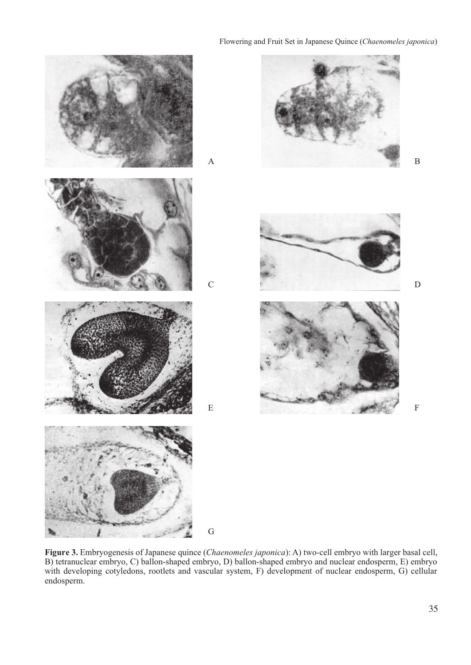#### Flowering and Fruit Set in Japanese Quince (*Chaenomeles japonica*)



**Figure 3.** Embryogenesis of Japanese quince (*Chaenomeles japonica*): A) two-cell embryo with larger basal cell, B) tetranuclear embryo, C) ballon-shaped embryo, D) ballon-shaped embryo and nuclear endosperm, E) embryo with developing cotyledons, rootlets and vascular system, F) development of nuclear endosperm, G) cellular endosperm.